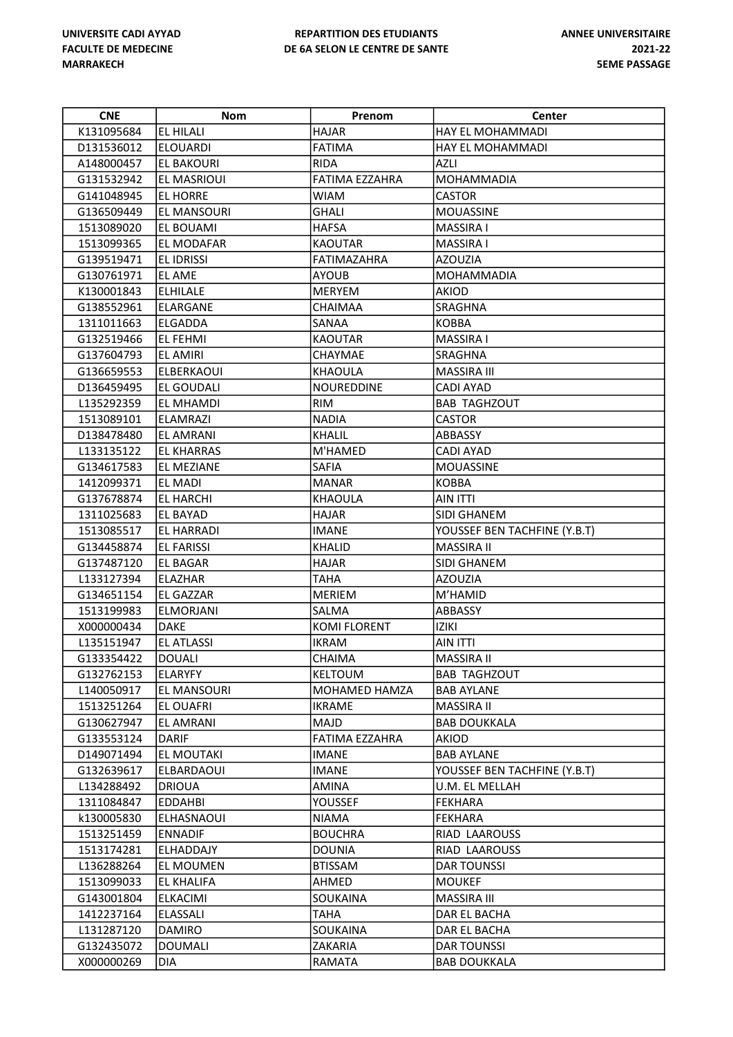| <b>CNE</b> | Nom                | Prenom                | <b>Center</b>                |
|------------|--------------------|-----------------------|------------------------------|
| K131095684 | EL HILALI          | <b>HAJAR</b>          | HAY EL MOHAMMADI             |
| D131536012 | <b>ELOUARDI</b>    | <b>FATIMA</b>         | HAY EL MOHAMMADI             |
| A148000457 | EL BAKOURI         | <b>RIDA</b>           | <b>AZLI</b>                  |
| G131532942 | EL MASRIOUI        | <b>FATIMA EZZAHRA</b> | MOHAMMADIA                   |
| G141048945 | EL HORRE           | <b>WIAM</b>           | <b>CASTOR</b>                |
| G136509449 | <b>EL MANSOURI</b> | GHALI                 | <b>MOUASSINE</b>             |
| 1513089020 | EL BOUAMI          | <b>HAFSA</b>          | <b>MASSIRA I</b>             |
| 1513099365 | <b>EL MODAFAR</b>  | <b>KAOUTAR</b>        | <b>MASSIRA I</b>             |
| G139519471 | <b>EL IDRISSI</b>  | FATIMAZAHRA           | <b>AZOUZIA</b>               |
| G130761971 | EL AME             | <b>AYOUB</b>          | <b>MOHAMMADIA</b>            |
| K130001843 | ELHILALE           | <b>MERYEM</b>         | <b>AKIOD</b>                 |
| G138552961 | ELARGANE           | CHAIMAA               | SRAGHNA                      |
| 1311011663 | ELGADDA            | SANAA                 | <b>KOBBA</b>                 |
| G132519466 | <b>EL FEHMI</b>    | <b>KAOUTAR</b>        | <b>MASSIRA I</b>             |
| G137604793 | <b>EL AMIRI</b>    | CHAYMAE               | SRAGHNA                      |
| G136659553 | ELBERKAOUI         | KHAOULA               | <b>MASSIRA III</b>           |
| D136459495 | EL GOUDALI         | <b>NOUREDDINE</b>     | <b>CADI AYAD</b>             |
| L135292359 | EL MHAMDI          | <b>RIM</b>            | <b>BAB TAGHZOUT</b>          |
| 1513089101 | ELAMRAZI           | <b>NADIA</b>          | <b>CASTOR</b>                |
| D138478480 | EL AMRANI          | <b>KHALIL</b>         | ABBASSY                      |
| L133135122 | <b>EL KHARRAS</b>  | M'HAMED               | <b>CADI AYAD</b>             |
| G134617583 | <b>EL MEZIANE</b>  | <b>SAFIA</b>          | <b>MOUASSINE</b>             |
| 1412099371 | <b>EL MADI</b>     | <b>MANAR</b>          | <b>KOBBA</b>                 |
| G137678874 | EL HARCHI          | <b>KHAOULA</b>        | AIN ITTI                     |
| 1311025683 | EL BAYAD           | <b>HAJAR</b>          | SIDI GHANEM                  |
| 1513085517 | EL HARRADI         | <b>IMANE</b>          | YOUSSEF BEN TACHFINE (Y.B.T) |
| G134458874 | <b>EL FARISSI</b>  | <b>KHALID</b>         | <b>MASSIRA II</b>            |
| G137487120 | <b>EL BAGAR</b>    | <b>HAJAR</b>          | SIDI GHANEM                  |
| L133127394 | ELAZHAR            | <b>TAHA</b>           | <b>AZOUZIA</b>               |
| G134651154 | EL GAZZAR          | <b>MERIEM</b>         | M'HAMID                      |
| 1513199983 | <b>ELMORJANI</b>   | SALMA                 | ABBASSY                      |
| X000000434 | DAKE               | <b>KOMI FLORENT</b>   | iziki                        |
| L135151947 | <b>EL ATLASSI</b>  | <b>IKRAM</b>          | <b>AIN ITTI</b>              |
| G133354422 | DOUALI             | CHAIMA                | MASSIRA II                   |
| G132762153 | ELARYFY            | <b>KELTOUM</b>        | <b>BAB TAGHZOUT</b>          |
| L140050917 | EL MANSOURI        | <b>MOHAMED HAMZA</b>  | <b>BAB AYLANE</b>            |
| 1513251264 | <b>EL OUAFRI</b>   | <b>IKRAME</b>         | MASSIRA II                   |
| G130627947 | EL AMRANI          | MAJD                  | <b>BAB DOUKKALA</b>          |
| G133553124 | DARIF              | <b>FATIMA EZZAHRA</b> | AKIOD                        |
| D149071494 | <b>EL MOUTAKI</b>  | <b>IMANE</b>          | <b>BAB AYLANE</b>            |
| G132639617 | ELBARDAOUI         | <b>IMANE</b>          | YOUSSEF BEN TACHFINE (Y.B.T) |
| L134288492 | <b>DRIOUA</b>      | AMINA                 | U.M. EL MELLAH               |
| 1311084847 | EDDAHBI            | <b>YOUSSEF</b>        | <b>FEKHARA</b>               |
| k130005830 | ELHASNAOUI         | NIAMA                 | FEKHARA                      |
| 1513251459 | <b>ENNADIF</b>     | <b>BOUCHRA</b>        | RIAD LAAROUSS                |
| 1513174281 | <b>ELHADDAJY</b>   | <b>DOUNIA</b>         | RIAD LAAROUSS                |
| L136288264 | EL MOUMEN          | <b>BTISSAM</b>        | DAR TOUNSSI                  |
| 1513099033 | EL KHALIFA         | AHMED                 | <b>MOUKEF</b>                |
| G143001804 | ELKACIMI           | SOUKAINA              | MASSIRA III                  |
| 1412237164 | ELASSALI           | TAHA                  | DAR EL BACHA                 |
| L131287120 | <b>DAMIRO</b>      | SOUKAINA              | DAR EL BACHA                 |
| G132435072 | <b>DOUMALI</b>     | ZAKARIA               | <b>DAR TOUNSSI</b>           |
| X000000269 | DIA                | RAMATA                | <b>BAB DOUKKALA</b>          |